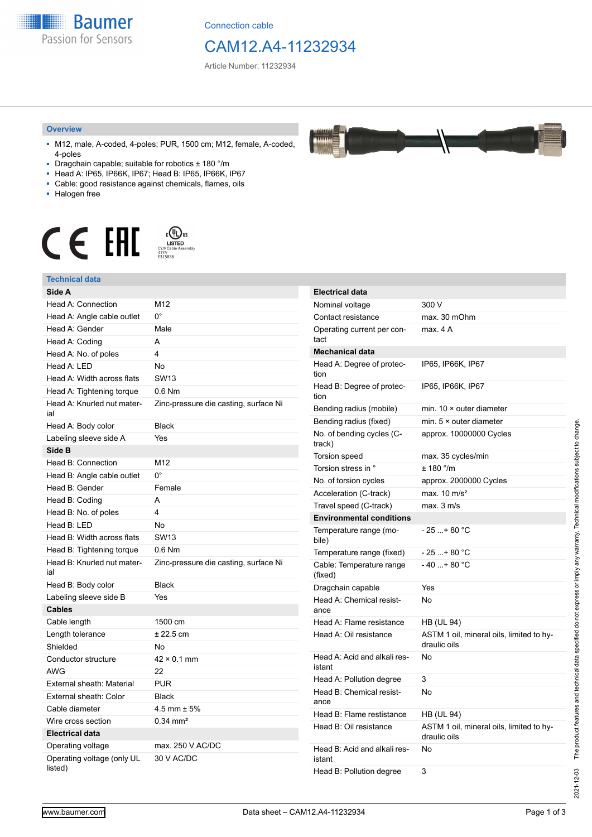

Connection cable

## CAM12.A4-11232934

Article Number: 11232934

#### **Overview**

- M12, male, A-coded, 4-poles; PUR, 1500 cm; M12, female, A-coded, 4-poles
- Dragchain capable; suitable for robotics ± 180 °/m
- Head A: IP65, IP66K, IP67; Head B: IP65, IP66K, IP67
- Cable: good resistance against chemicals, flames, oils
- Halogen free



#### **Technical data**

| Technical data                        |                                       |
|---------------------------------------|---------------------------------------|
| Side A                                |                                       |
| <b>Head A: Connection</b>             | M12                                   |
| Head A: Angle cable outlet            | 0°                                    |
| Head A: Gender                        | Male                                  |
| Head A: Coding                        | A                                     |
| Head A: No. of poles                  | 4                                     |
| Head A: LED                           | No                                    |
| Head A: Width across flats            | <b>SW13</b>                           |
| Head A: Tightening torque             | $0.6$ Nm                              |
| Head A: Knurled nut mater-<br>ial     | Zinc-pressure die casting, surface Ni |
| Head A: Body color                    | <b>Black</b>                          |
| Labeling sleeve side A                | Yes                                   |
| Side B                                |                                       |
| Head B: Connection                    | M12                                   |
| Head B: Angle cable outlet            | 0°                                    |
| Head B: Gender                        | Female                                |
| Head B: Coding                        | A                                     |
| Head B: No. of poles                  | 4                                     |
| Head B: LED                           | No                                    |
| Head B: Width across flats            | <b>SW13</b>                           |
| Head B: Tightening torque             | $0.6$ Nm                              |
| Head B: Knurled nut mater-<br>ial     | Zinc-pressure die casting, surface Ni |
| Head B: Body color                    | <b>Black</b>                          |
| Labeling sleeve side B                | Yes                                   |
| <b>Cables</b>                         |                                       |
| Cable length                          | 1500 cm                               |
| Length tolerance                      | $± 22.5$ cm                           |
| Shielded                              | No                                    |
| Conductor structure                   | $42 \times 0.1$ mm                    |
| AWG                                   | 22                                    |
| External sheath: Material             | PUR                                   |
| External sheath: Color                | <b>Black</b>                          |
| Cable diameter                        | $4.5$ mm $\pm$ 5%                     |
| Wire cross section                    | $0.34 \text{ mm}^2$                   |
| <b>Electrical data</b>                |                                       |
| Operating voltage                     | max. 250 V AC/DC                      |
| Operating voltage (only UL<br>listed) | 30 V AC/DC                            |

| <b>Electrical data</b>                 |                                                          |
|----------------------------------------|----------------------------------------------------------|
| Nominal voltage                        | 300 V                                                    |
| Contact resistance                     | max. 30 mOhm                                             |
| Operating current per con-<br>tact     | max. 4 A                                                 |
| <b>Mechanical data</b>                 |                                                          |
| Head A: Degree of protec-<br>tion      | IP65, IP66K, IP67                                        |
| Head B: Degree of protec-<br>tion      | IP65, IP66K, IP67                                        |
| Bending radius (mobile)                | min. $10 \times$ outer diameter                          |
| Bending radius (fixed)                 | min. 5 × outer diameter                                  |
| No. of bending cycles (C-<br>track)    | approx. 10000000 Cycles                                  |
| Torsion speed                          | max. 35 cycles/min                                       |
| Torsion stress in °                    | ± 180 °/m                                                |
| No. of torsion cycles                  | approx. 2000000 Cycles                                   |
| Acceleration (C-track)                 | max. $10 \text{ m/s}^2$                                  |
| Travel speed (C-track)                 | max. 3 m/s                                               |
| <b>Environmental conditions</b>        |                                                          |
| Temperature range (mo-<br>bile)        | - 25 + 80 °C                                             |
| Temperature range (fixed)              | - 25 + 80 °C                                             |
| Cable: Temperature range<br>(fixed)    | $-40+80 °C$                                              |
| Dragchain capable                      | Yes                                                      |
| Head A: Chemical resist-<br>ance       | No                                                       |
| Head A: Flame resistance               | HB (UL 94)                                               |
| Head A: Oil resistance                 | ASTM 1 oil, mineral oils, limited to hy-<br>draulic oils |
| Head A: Acid and alkali res-<br>istant | No                                                       |
| Head A: Pollution degree               | 3                                                        |
| Head B: Chemical resist-<br>ance       | No                                                       |
| Head B: Flame restistance              | HB (UL 94)                                               |
| Head B: Oil resistance                 | ASTM 1 oil, mineral oils, limited to hy-<br>draulic oils |
| Head B: Acid and alkali res-<br>istant | No                                                       |
| Head B: Pollution degree               | 3                                                        |

2021-12-03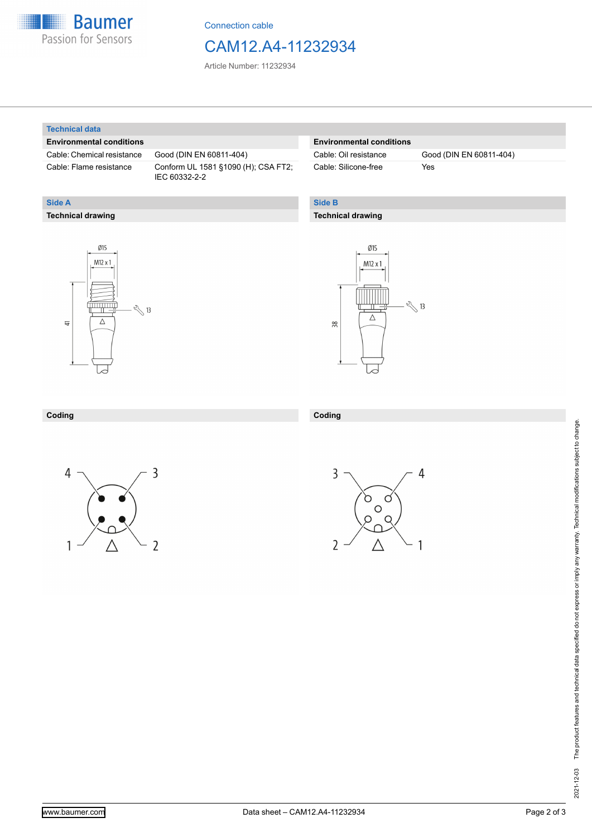

Connection cable

## CAM12.A4-11232934

Article Number: 11232934

#### **Technical data**

**Technical drawing**

**Side A**

#### **Environmental conditions**

Cable: Chemical resistance Good (DIN EN 60811-404)

Cable: Flame resistance Conform UL 1581 §1090 (H); CSA FT2; IEC 60332-2-2

#### **Environmental conditions**

Cable: Silicone-free Yes

Cable: Oil resistance Good (DIN EN 60811-404)

#### **Side B**

**Coding**

#### **Technical drawing**





### **Coding**